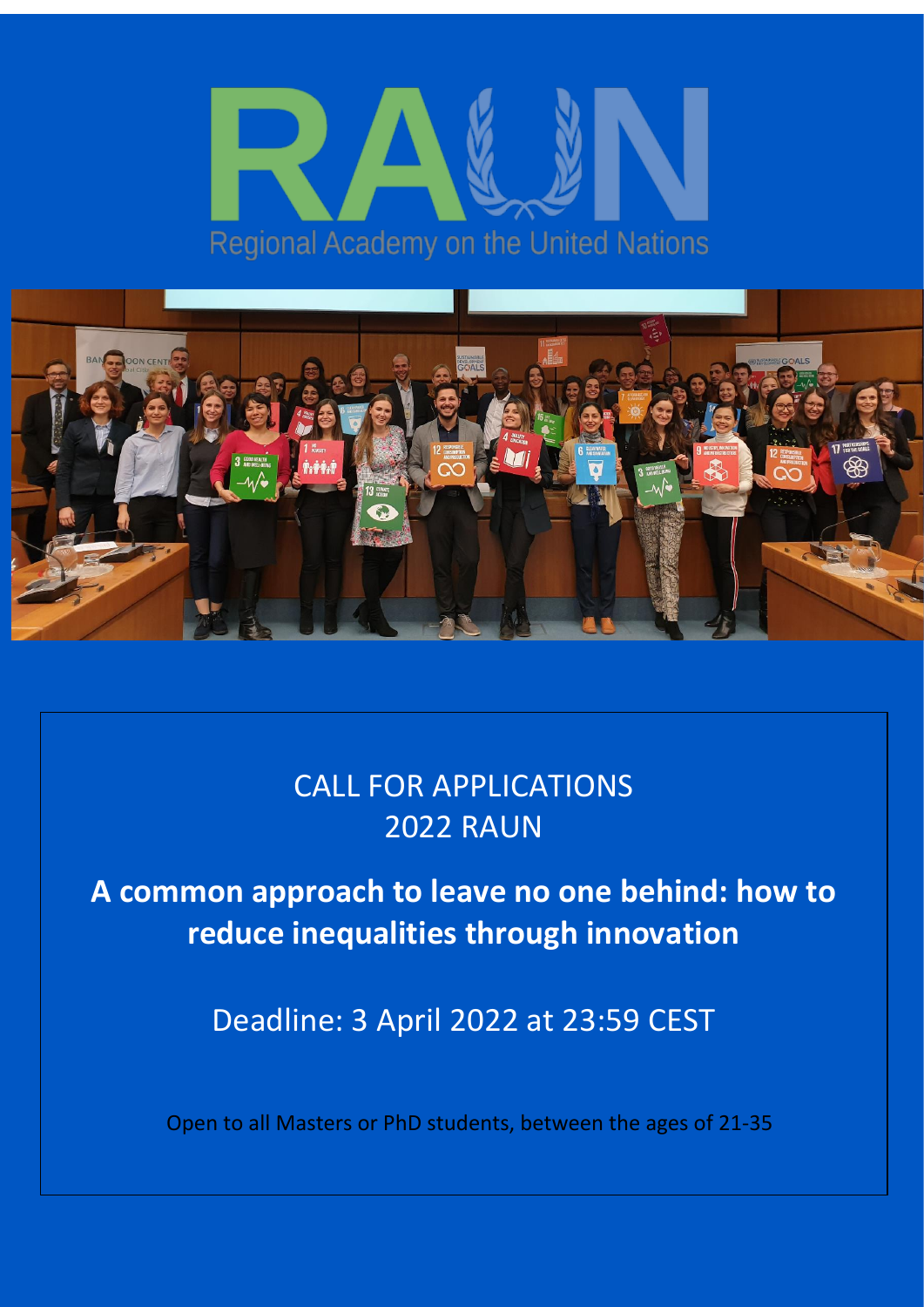



# CALL FOR APPLICATIONS 2022 RAUN

**A common approach to leave no one behind: how to reduce inequalities through innovation**

Deadline: 3 April 2022 at 23:59 CEST

Open to all Masters or PhD students, between the ages of 21-35